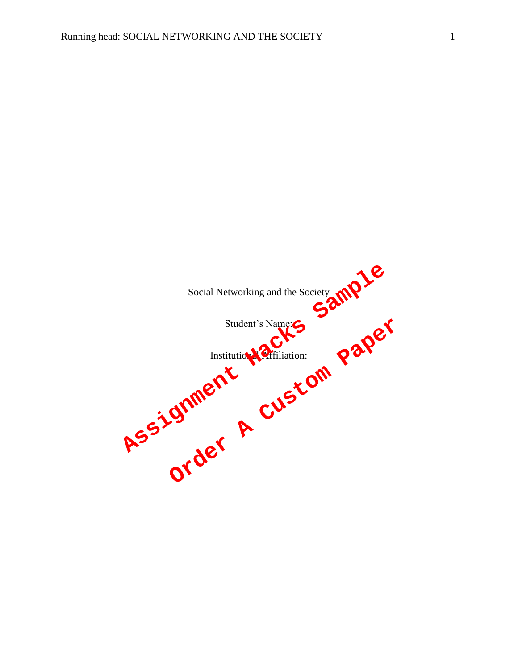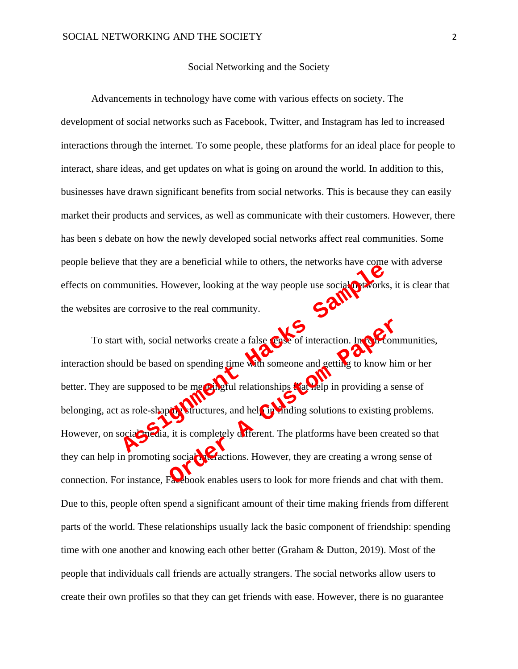## Social Networking and the Society

Advancements in technology have come with various effects on society. The development of social networks such as Facebook, Twitter, and Instagram has led to increased interactions through the internet. To some people, these platforms for an ideal place for people to interact, share ideas, and get updates on what is going on around the world. In addition to this, businesses have drawn significant benefits from social networks. This is because they can easily market their products and services, as well as communicate with their customers. However, there has been s debate on how the newly developed social networks affect real communities. Some people believe that they are a beneficial while to others, the networks have come with adverse effects on communities. However, looking at the way people use social networks, it is clear that the websites are corrosive to the real community.

To start with, social networks create a false sense of interaction. In real communities, interaction should be based on spending time with someone and getting to know him or her better. They are supposed to be meaningful relationships that help in providing a sense of belonging, act as role-shaping structures, and help in finding solutions to existing problems. However, on social media, it is completely different. The platforms have been created so that they can help in promoting social interactions. However, they are creating a wrong sense of connection. For instance, Facebook enables users to look for more friends and chat with them. Due to this, people often spend a significant amount of their time making friends from different parts of the world. These relationships usually lack the basic component of friendship: spending time with one another and knowing each other better (Graham & Dutton, 2019). Most of the people that individuals call friends are actually strangers. The social networks allow users to create their own profiles so that they can get friends with ease. However, there is no guarantee munities. However, looking at the way people use social provincis<br>e corrosive to the real community.<br>t with, social networks create a false solve of interaction. In order<br>and be based on spending time with someone and gett In networks create a false sense of interaction. In the order of interaction of the mean of the some one and getting to know his to be mean grid relationships that the p in providing a sense of the method is a sense of the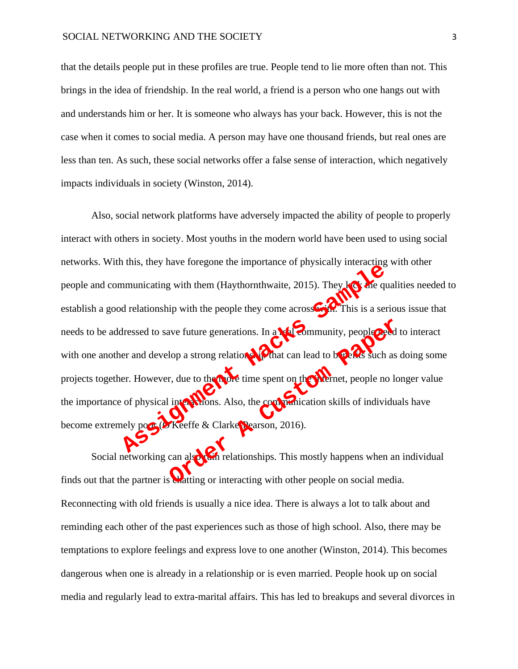that the details people put in these profiles are true. People tend to lie more often than not. This brings in the idea of friendship. In the real world, a friend is a person who one hangs out with and understands him or her. It is someone who always has your back. However, this is not the case when it comes to social media. A person may have one thousand friends, but real ones are less than ten. As such, these social networks offer a false sense of interaction, which negatively impacts individuals in society (Winston, 2014).

Also, social network platforms have adversely impacted the ability of people to properly interact with others in society. Most youths in the modern world have been used to using social networks. With this, they have foregone the importance of physically interacting with other people and communicating with them (Haythornthwaite, 2015). They lack the qualities needed to establish a good relationship with the people they come across  $\bullet$  This is a serious issue that needs to be addressed to save future generations. In a **real community**, people **need** to interact with one another and develop a strong relationship that can lead to be news such as doing some projects together. However, due to the more time spent on the internet, people no longer value the importance of physical interactions. Also, the communication skills of individuals have become extremely poor (O'Keeffe & Clarke-Pearson, 2016). Assumenting with them (Haythornthwaite, 2015). They legs are divided a relationship with the people they come across  $\frac{1}{2}$ . This is a series and develop a strong relations. In a real Community, people of er and develop Next future generations. In a **contract of the model with the contract of the Custom Paper**<br>
Iop a strong relations and the spent can lead to be the such as<br>
r, due to the contract can lead to be for such as<br>
r Keeffe & Cl

Social networking can also run relationships. This mostly happens when an individual finds out that the partner is **chatting** or interacting with other people on social media. Reconnecting with old friends is usually a nice idea. There is always a lot to talk about and reminding each other of the past experiences such as those of high school. Also, there may be temptations to explore feelings and express love to one another (Winston, 2014). This becomes dangerous when one is already in a relationship or is even married. People hook up on social media and regularly lead to extra-marital affairs. This has led to breakups and several divorces in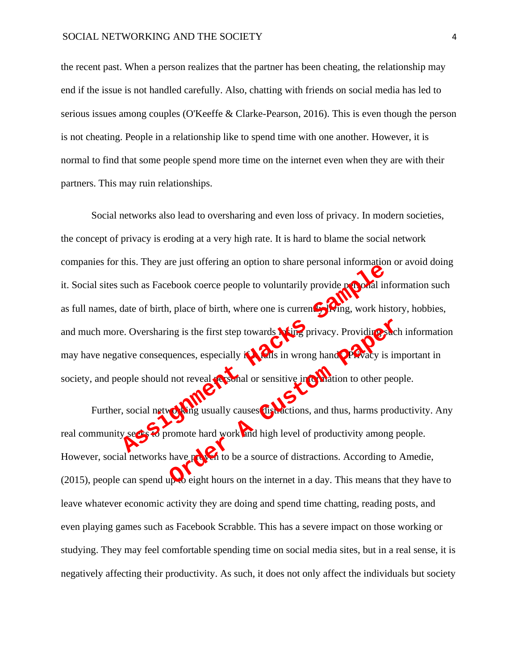the recent past. When a person realizes that the partner has been cheating, the relationship may end if the issue is not handled carefully. Also, chatting with friends on social media has led to serious issues among couples (O'Keeffe & Clarke-Pearson, 2016). This is even though the person is not cheating. People in a relationship like to spend time with one another. However, it is normal to find that some people spend more time on the internet even when they are with their partners. This may ruin relationships.

Social networks also lead to oversharing and even loss of privacy. In modern societies, the concept of privacy is eroding at a very high rate. It is hard to blame the social network companies for this. They are just offering an option to share personal information or avoid doing it. Social sites such as Facebook coerce people to voluntarily provide personal information such as full names, date of birth, place of birth, where one is current  $\alpha$   $(m<sub>g</sub>, work$  history, hobbies, and much more. Oversharing is the first step towards **Noting** privacy. Providing such information may have negative consequences, especially  $\mathbf{if}$  falls in wrong hand $\mathbf{or}$   $\mathbf{f}$  and  $\mathbf{or}$  is important in society, and people should not reveal **personal or sensitive information** to other people. Social network and work and high level of productivity among the same of birth, where one is current to thing, work his<br>Although the first step towards with privacy. Providing is<br>tive consequences, especially in this in wr

Further, social networking usually causes distractions, and thus, harms productivity. Any real community seeks  $\bullet$  promote hard work and high level of productivity among people. However, social networks have proven to be a source of distractions. According to Amedie, (2015), people can spend up to eight hours on the internet in a day. This means that they have to leave whatever economic activity they are doing and spend time chatting, reading posts, and even playing games such as Facebook Scrabble. This has a severe impact on those working or studying. They may feel comfortable spending time on social media sites, but in a real sense, it is negatively affecting their productivity. As such, it does not only affect the individuals but society In the first step towards **New Spring Strategy**. Providing Strategy is in the reveal problem or sensitive information to other people in the reveal problem of sensitive information to other people usually causes distractio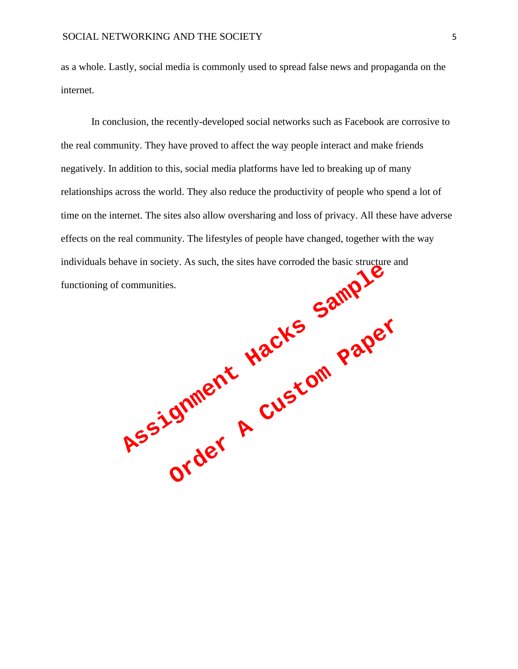as a whole. Lastly, social media is commonly used to spread false news and propaganda on the internet.

In conclusion, the recently-developed social networks such as Facebook are corrosive to the real community. They have proved to affect the way people interact and make friends negatively. In addition to this, social media platforms have led to breaking up of many relationships across the world. They also reduce the productivity of people who spend a lot of time on the internet. The sites also allow oversharing and loss of privacy. All these have adverse effects on the real community. The lifestyles of people have changed, together with the way individuals behave in society. As such, the sites have corroded the basic structure and

functioning of communities.<br>
Explorance Hacks Sample Order **A Custom Paper**